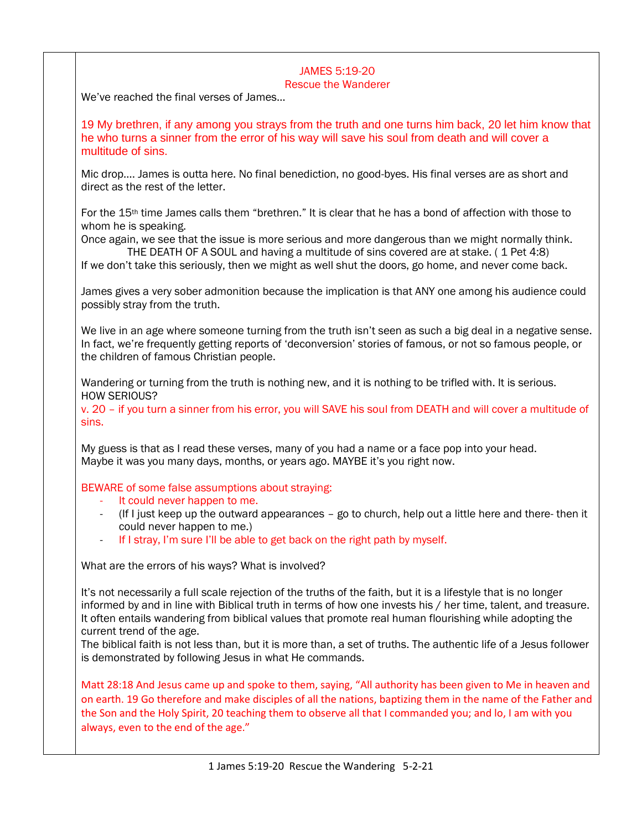# JAMES 5:19-20

### Rescue the Wanderer

We've reached the final verses of James…

19 My brethren, if any among you strays from the truth and one turns him back, 20 let him know that he who turns a sinner from the error of his way will save his soul from death and will cover a multitude of sins.

Mic drop…. James is outta here. No final benediction, no good-byes. His final verses are as short and direct as the rest of the letter.

For the 15th time James calls them "brethren." It is clear that he has a bond of affection with those to whom he is speaking.

Once again, we see that the issue is more serious and more dangerous than we might normally think. THE DEATH OF A SOUL and having a multitude of sins covered are at stake. ( 1 Pet 4:8)

If we don't take this seriously, then we might as well shut the doors, go home, and never come back.

James gives a very sober admonition because the implication is that ANY one among his audience could possibly stray from the truth.

We live in an age where someone turning from the truth isn't seen as such a big deal in a negative sense. In fact, we're frequently getting reports of 'deconversion' stories of famous, or not so famous people, or the children of famous Christian people.

Wandering or turning from the truth is nothing new, and it is nothing to be trifled with. It is serious. HOW SERIOUS?

v. 20 – if you turn a sinner from his error, you will SAVE his soul from DEATH and will cover a multitude of sins.

My guess is that as I read these verses, many of you had a name or a face pop into your head. Maybe it was you many days, months, or years ago. MAYBE it's you right now.

### BEWARE of some false assumptions about straying:

- It could never happen to me.
- $($ If I just keep up the outward appearances  $-$  go to church, help out a little here and there- then it could never happen to me.)
- If I stray, I'm sure I'll be able to get back on the right path by myself.

What are the errors of his ways? What is involved?

It's not necessarily a full scale rejection of the truths of the faith, but it is a lifestyle that is no longer informed by and in line with Biblical truth in terms of how one invests his / her time, talent, and treasure. It often entails wandering from biblical values that promote real human flourishing while adopting the current trend of the age.

The biblical faith is not less than, but it is more than, a set of truths. The authentic life of a Jesus follower is demonstrated by following Jesus in what He commands.

Matt 28:18 And Jesus came up and spoke to them, saying, "All authority has been given to Me in heaven and on earth. 19 Go therefore and make disciples of all the nations, baptizing them in the name of the Father and the Son and the Holy Spirit, 20 teaching them to observe all that I commanded you; and lo, I am with you always, even to the end of the age."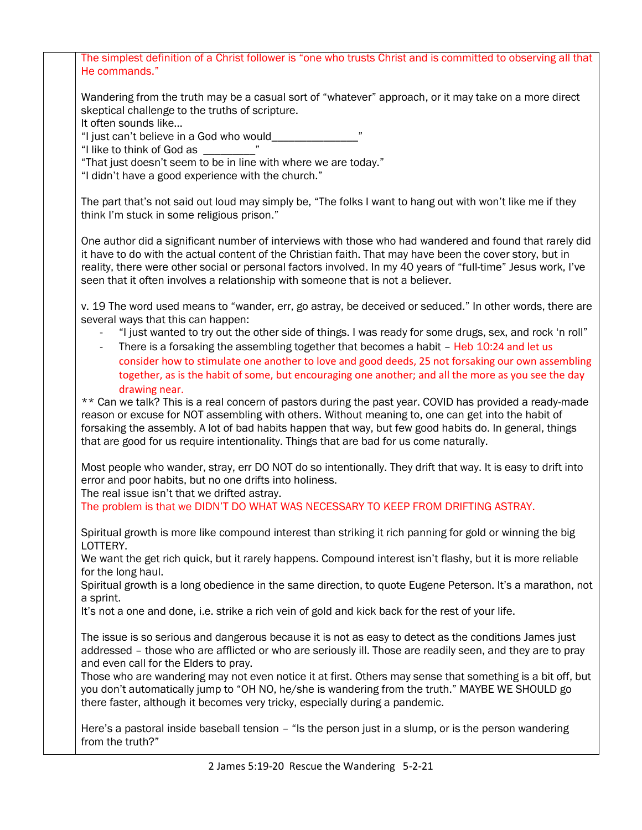| The simplest definition of a Christ follower is "one who trusts Christ and is committed to observing all that<br>He commands."                                                                                                                                                                                                                                                                                                  |
|---------------------------------------------------------------------------------------------------------------------------------------------------------------------------------------------------------------------------------------------------------------------------------------------------------------------------------------------------------------------------------------------------------------------------------|
| Wandering from the truth may be a casual sort of "whatever" approach, or it may take on a more direct<br>skeptical challenge to the truths of scripture.                                                                                                                                                                                                                                                                        |
| It often sounds like<br>"I just can't believe in a God who would________________                                                                                                                                                                                                                                                                                                                                                |
| "I like to think of God as _______                                                                                                                                                                                                                                                                                                                                                                                              |
| "That just doesn't seem to be in line with where we are today."<br>"I didn't have a good experience with the church."                                                                                                                                                                                                                                                                                                           |
| The part that's not said out loud may simply be, "The folks I want to hang out with won't like me if they<br>think I'm stuck in some religious prison."                                                                                                                                                                                                                                                                         |
| One author did a significant number of interviews with those who had wandered and found that rarely did<br>it have to do with the actual content of the Christian faith. That may have been the cover story, but in<br>reality, there were other social or personal factors involved. In my 40 years of "full-time" Jesus work, I've<br>seen that it often involves a relationship with someone that is not a believer.         |
| v. 19 The word used means to "wander, err, go astray, be deceived or seduced." In other words, there are<br>several ways that this can happen:                                                                                                                                                                                                                                                                                  |
| "I just wanted to try out the other side of things. I was ready for some drugs, sex, and rock 'n roll"<br>There is a forsaking the assembling together that becomes a habit - Heb 10:24 and let us<br>consider how to stimulate one another to love and good deeds, 25 not forsaking our own assembling<br>together, as is the habit of some, but encouraging one another; and all the more as you see the day<br>drawing near. |
| ** Can we talk? This is a real concern of pastors during the past year. COVID has provided a ready-made<br>reason or excuse for NOT assembling with others. Without meaning to, one can get into the habit of<br>forsaking the assembly. A lot of bad habits happen that way, but few good habits do. In general, things<br>that are good for us require intentionality. Things that are bad for us come naturally.             |
| Most people who wander, stray, err DO NOT do so intentionally. They drift that way. It is easy to drift into<br>error and poor habits, but no one drifts into holiness.<br>The real issue isn't that we drifted astray.<br>The problem is that we DIDN'T DO WHAT WAS NECESSARY TO KEEP FROM DRIFTING ASTRAY.                                                                                                                    |
| Spiritual growth is more like compound interest than striking it rich panning for gold or winning the big<br>LOTTERY.                                                                                                                                                                                                                                                                                                           |
| We want the get rich quick, but it rarely happens. Compound interest isn't flashy, but it is more reliable<br>for the long haul.                                                                                                                                                                                                                                                                                                |
| Spiritual growth is a long obedience in the same direction, to quote Eugene Peterson. It's a marathon, not<br>a sprint.                                                                                                                                                                                                                                                                                                         |
| It's not a one and done, i.e. strike a rich vein of gold and kick back for the rest of your life.                                                                                                                                                                                                                                                                                                                               |
| The issue is so serious and dangerous because it is not as easy to detect as the conditions James just<br>addressed - those who are afflicted or who are seriously ill. Those are readily seen, and they are to pray<br>and even call for the Elders to pray.                                                                                                                                                                   |
| Those who are wandering may not even notice it at first. Others may sense that something is a bit off, but<br>you don't automatically jump to "OH NO, he/she is wandering from the truth." MAYBE WE SHOULD go<br>there faster, although it becomes very tricky, especially during a pandemic.                                                                                                                                   |
| Here's a pastoral inside baseball tension - "Is the person just in a slump, or is the person wandering<br>from the truth?"                                                                                                                                                                                                                                                                                                      |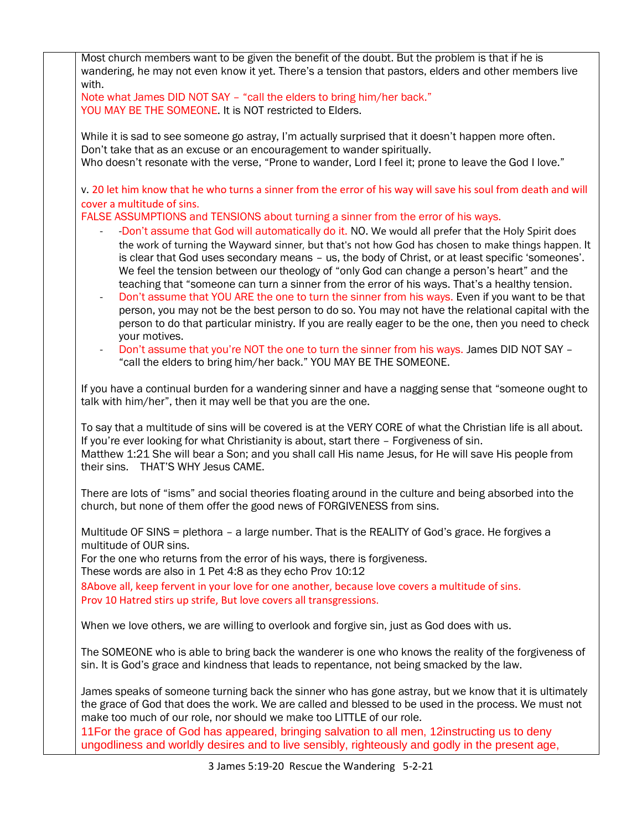| Most church members want to be given the benefit of the doubt. But the problem is that if he is<br>wandering, he may not even know it yet. There's a tension that pastors, elders and other members live<br>with.                                                                                                                                                                                                                                                                                                                                                                                                                                                                                                                                                                                                                                                           |
|-----------------------------------------------------------------------------------------------------------------------------------------------------------------------------------------------------------------------------------------------------------------------------------------------------------------------------------------------------------------------------------------------------------------------------------------------------------------------------------------------------------------------------------------------------------------------------------------------------------------------------------------------------------------------------------------------------------------------------------------------------------------------------------------------------------------------------------------------------------------------------|
| Note what James DID NOT SAY - "call the elders to bring him/her back."<br>YOU MAY BE THE SOMEONE. It is NOT restricted to Elders.                                                                                                                                                                                                                                                                                                                                                                                                                                                                                                                                                                                                                                                                                                                                           |
| While it is sad to see someone go astray, I'm actually surprised that it doesn't happen more often.<br>Don't take that as an excuse or an encouragement to wander spiritually.<br>Who doesn't resonate with the verse, "Prone to wander, Lord I feel it; prone to leave the God I love."                                                                                                                                                                                                                                                                                                                                                                                                                                                                                                                                                                                    |
| v. 20 let him know that he who turns a sinner from the error of his way will save his soul from death and will                                                                                                                                                                                                                                                                                                                                                                                                                                                                                                                                                                                                                                                                                                                                                              |
| cover a multitude of sins.<br>FALSE ASSUMPTIONS and TENSIONS about turning a sinner from the error of his ways.                                                                                                                                                                                                                                                                                                                                                                                                                                                                                                                                                                                                                                                                                                                                                             |
| -Don't assume that God will automatically do it. NO. We would all prefer that the Holy Spirit does<br>the work of turning the Wayward sinner, but that's not how God has chosen to make things happen. It<br>is clear that God uses secondary means - us, the body of Christ, or at least specific 'someones'.<br>We feel the tension between our theology of "only God can change a person's heart" and the<br>teaching that "someone can turn a sinner from the error of his ways. That's a healthy tension.<br>Don't assume that YOU ARE the one to turn the sinner from his ways. Even if you want to be that<br>$\overline{\phantom{a}}$<br>person, you may not be the best person to do so. You may not have the relational capital with the<br>person to do that particular ministry. If you are really eager to be the one, then you need to check<br>your motives. |
| Don't assume that you're NOT the one to turn the sinner from his ways. James DID NOT SAY -<br>"call the elders to bring him/her back." YOU MAY BE THE SOMEONE.                                                                                                                                                                                                                                                                                                                                                                                                                                                                                                                                                                                                                                                                                                              |
| If you have a continual burden for a wandering sinner and have a nagging sense that "someone ought to<br>talk with him/her", then it may well be that you are the one.                                                                                                                                                                                                                                                                                                                                                                                                                                                                                                                                                                                                                                                                                                      |
| To say that a multitude of sins will be covered is at the VERY CORE of what the Christian life is all about.<br>If you're ever looking for what Christianity is about, start there - Forgiveness of sin.<br>Matthew 1:21 She will bear a Son; and you shall call His name Jesus, for He will save His people from<br>their sins. THAT'S WHY Jesus CAME.                                                                                                                                                                                                                                                                                                                                                                                                                                                                                                                     |
| There are lots of "isms" and social theories floating around in the culture and being absorbed into the<br>church, but none of them offer the good news of FORGIVENESS from sins.                                                                                                                                                                                                                                                                                                                                                                                                                                                                                                                                                                                                                                                                                           |
| Multitude OF SINS = plethora - a large number. That is the REALITY of God's grace. He forgives a                                                                                                                                                                                                                                                                                                                                                                                                                                                                                                                                                                                                                                                                                                                                                                            |
| multitude of OUR sins.<br>For the one who returns from the error of his ways, there is forgiveness.                                                                                                                                                                                                                                                                                                                                                                                                                                                                                                                                                                                                                                                                                                                                                                         |
| These words are also in 1 Pet 4:8 as they echo Prov 10:12<br>8Above all, keep fervent in your love for one another, because love covers a multitude of sins.                                                                                                                                                                                                                                                                                                                                                                                                                                                                                                                                                                                                                                                                                                                |
| Prov 10 Hatred stirs up strife, But love covers all transgressions.                                                                                                                                                                                                                                                                                                                                                                                                                                                                                                                                                                                                                                                                                                                                                                                                         |
| When we love others, we are willing to overlook and forgive sin, just as God does with us.                                                                                                                                                                                                                                                                                                                                                                                                                                                                                                                                                                                                                                                                                                                                                                                  |
| The SOMEONE who is able to bring back the wanderer is one who knows the reality of the forgiveness of<br>sin. It is God's grace and kindness that leads to repentance, not being smacked by the law.                                                                                                                                                                                                                                                                                                                                                                                                                                                                                                                                                                                                                                                                        |
| James speaks of someone turning back the sinner who has gone astray, but we know that it is ultimately<br>the grace of God that does the work. We are called and blessed to be used in the process. We must not<br>make too much of our role, nor should we make too LITTLE of our role.<br>11 For the grace of God has appeared, bringing salvation to all men, 12 instructing us to deny                                                                                                                                                                                                                                                                                                                                                                                                                                                                                  |
| ungodliness and worldly desires and to live sensibly, righteously and godly in the present age,                                                                                                                                                                                                                                                                                                                                                                                                                                                                                                                                                                                                                                                                                                                                                                             |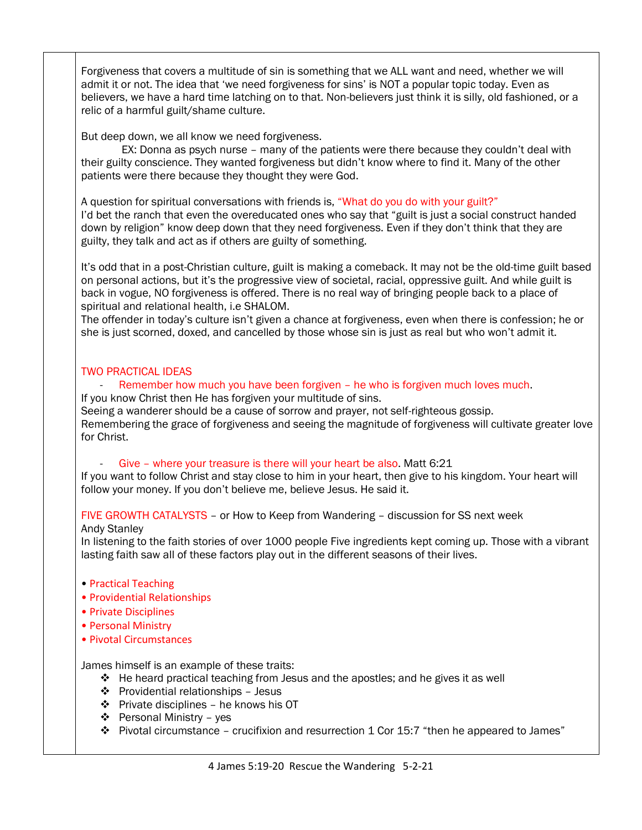Forgiveness that covers a multitude of sin is something that we ALL want and need, whether we will admit it or not. The idea that 'we need forgiveness for sins' is NOT a popular topic today. Even as believers, we have a hard time latching on to that. Non-believers just think it is silly, old fashioned, or a relic of a harmful guilt/shame culture.

But deep down, we all know we need forgiveness.

 EX: Donna as psych nurse – many of the patients were there because they couldn't deal with their guilty conscience. They wanted forgiveness but didn't know where to find it. Many of the other patients were there because they thought they were God.

A question for spiritual conversations with friends is, "What do you do with your guilt?" I'd bet the ranch that even the overeducated ones who say that "guilt is just a social construct handed down by religion" know deep down that they need forgiveness. Even if they don't think that they are guilty, they talk and act as if others are guilty of something.

It's odd that in a post-Christian culture, guilt is making a comeback. It may not be the old-time guilt based on personal actions, but it's the progressive view of societal, racial, oppressive guilt. And while guilt is back in vogue, NO forgiveness is offered. There is no real way of bringing people back to a place of spiritual and relational health, i.e SHALOM.

The offender in today's culture isn't given a chance at forgiveness, even when there is confession; he or she is just scorned, doxed, and cancelled by those whose sin is just as real but who won't admit it.

## TWO PRACTICAL IDEAS

Remember how much you have been forgiven – he who is forgiven much loves much.

If you know Christ then He has forgiven your multitude of sins.

Seeing a wanderer should be a cause of sorrow and prayer, not self-righteous gossip. Remembering the grace of forgiveness and seeing the magnitude of forgiveness will cultivate greater love for Christ.

Give - where your treasure is there will your heart be also. Matt 6:21

If you want to follow Christ and stay close to him in your heart, then give to his kingdom. Your heart will follow your money. If you don't believe me, believe Jesus. He said it.

FIVE GROWTH CATALYSTS – or How to Keep from Wandering – discussion for SS next week

### Andy Stanley

In listening to the faith stories of over 1000 people Five ingredients kept coming up. Those with a vibrant lasting faith saw all of these factors play out in the different seasons of their lives.

- Practical Teaching
- Providential Relationships
- Private Disciplines
- Personal Ministry
- Pivotal Circumstances

James himself is an example of these traits:

- $\div$  He heard practical teaching from Jesus and the apostles; and he gives it as well
- Providential relationships Jesus
- $\div$  Private disciplines he knows his OT
- $\div$  Personal Ministry yes
- $\clubsuit$  Pivotal circumstance crucifixion and resurrection 1 Cor 15:7 "then he appeared to James"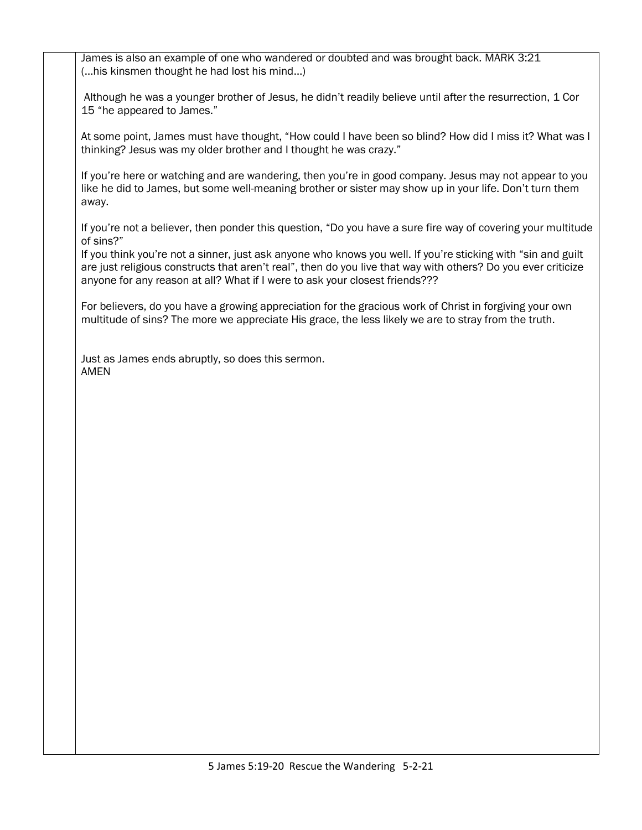James is also an example of one who wandered or doubted and was brought back. MARK 3:21 (…his kinsmen thought he had lost his mind…)

Although he was a younger brother of Jesus, he didn't readily believe until after the resurrection, 1 Cor 15 "he appeared to James."

At some point, James must have thought, "How could I have been so blind? How did I miss it? What was I thinking? Jesus was my older brother and I thought he was crazy."

If you're here or watching and are wandering, then you're in good company. Jesus may not appear to you like he did to James, but some well-meaning brother or sister may show up in your life. Don't turn them away.

If you're not a believer, then ponder this question, "Do you have a sure fire way of covering your multitude of sins?"

If you think you're not a sinner, just ask anyone who knows you well. If you're sticking with "sin and guilt are just religious constructs that aren't real", then do you live that way with others? Do you ever criticize anyone for any reason at all? What if I were to ask your closest friends???

For believers, do you have a growing appreciation for the gracious work of Christ in forgiving your own multitude of sins? The more we appreciate His grace, the less likely we are to stray from the truth.

Just as James ends abruptly, so does this sermon. AMEN